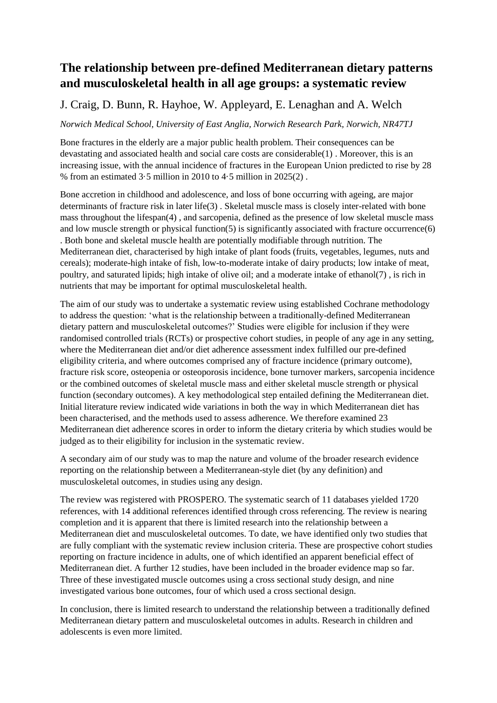## **The relationship between pre-defined Mediterranean dietary patterns and musculoskeletal health in all age groups: a systematic review**

## J. Craig, D. Bunn, R. Hayhoe, W. Appleyard, E. Lenaghan and A. Welch

*Norwich Medical School, University of East Anglia, Norwich Research Park, Norwich, NR47TJ* 

Bone fractures in the elderly are a major public health problem. Their consequences can be devastating and associated health and social care costs are considerable(1) . Moreover, this is an increasing issue, with the annual incidence of fractures in the European Union predicted to rise by 28 % from an estimated 3·5 million in 2010 to 4·5 million in 2025(2) .

Bone accretion in childhood and adolescence, and loss of bone occurring with ageing, are major determinants of fracture risk in later life(3) . Skeletal muscle mass is closely inter-related with bone mass throughout the lifespan(4) , and sarcopenia, defined as the presence of low skeletal muscle mass and low muscle strength or physical function(5) is significantly associated with fracture occurrence(6) . Both bone and skeletal muscle health are potentially modifiable through nutrition. The Mediterranean diet, characterised by high intake of plant foods (fruits, vegetables, legumes, nuts and cereals); moderate-high intake of fish, low-to-moderate intake of dairy products; low intake of meat, poultry, and saturated lipids; high intake of olive oil; and a moderate intake of ethanol(7) , is rich in nutrients that may be important for optimal musculoskeletal health.

The aim of our study was to undertake a systematic review using established Cochrane methodology to address the question: 'what is the relationship between a traditionally-defined Mediterranean dietary pattern and musculoskeletal outcomes?' Studies were eligible for inclusion if they were randomised controlled trials (RCTs) or prospective cohort studies, in people of any age in any setting, where the Mediterranean diet and/or diet adherence assessment index fulfilled our pre-defined eligibility criteria, and where outcomes comprised any of fracture incidence (primary outcome), fracture risk score, osteopenia or osteoporosis incidence, bone turnover markers, sarcopenia incidence or the combined outcomes of skeletal muscle mass and either skeletal muscle strength or physical function (secondary outcomes). A key methodological step entailed defining the Mediterranean diet. Initial literature review indicated wide variations in both the way in which Mediterranean diet has been characterised, and the methods used to assess adherence. We therefore examined 23 Mediterranean diet adherence scores in order to inform the dietary criteria by which studies would be judged as to their eligibility for inclusion in the systematic review.

A secondary aim of our study was to map the nature and volume of the broader research evidence reporting on the relationship between a Mediterranean-style diet (by any definition) and musculoskeletal outcomes, in studies using any design.

The review was registered with PROSPERO. The systematic search of 11 databases yielded 1720 references, with 14 additional references identified through cross referencing. The review is nearing completion and it is apparent that there is limited research into the relationship between a Mediterranean diet and musculoskeletal outcomes. To date, we have identified only two studies that are fully compliant with the systematic review inclusion criteria. These are prospective cohort studies reporting on fracture incidence in adults, one of which identified an apparent beneficial effect of Mediterranean diet. A further 12 studies, have been included in the broader evidence map so far. Three of these investigated muscle outcomes using a cross sectional study design, and nine investigated various bone outcomes, four of which used a cross sectional design.

In conclusion, there is limited research to understand the relationship between a traditionally defined Mediterranean dietary pattern and musculoskeletal outcomes in adults. Research in children and adolescents is even more limited.